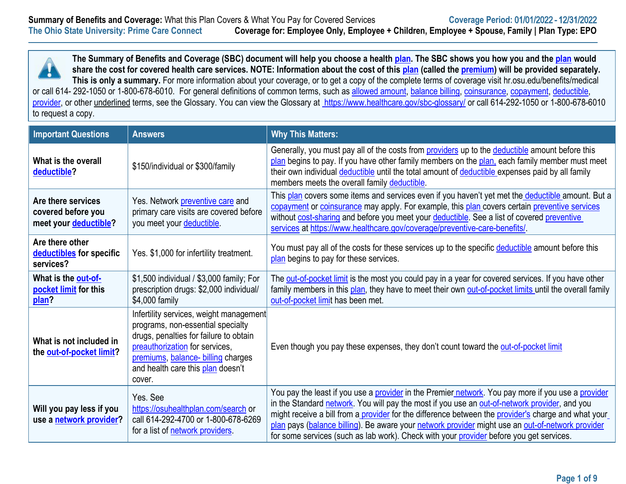**The Summary of Benefits and Coverage (SBC) document will help you choose a health [plan.](https://www.healthcare.gov/sbc-glossary/#plan) The SBC shows you how you and the [plan](https://www.healthcare.gov/sbc-glossary/#plan) would share the cost for covered health care services. NOTE: Information about the cost of this [plan](https://www.healthcare.gov/sbc-glossary/#plan) (called the [premium\)](https://www.healthcare.gov/sbc-glossary/#premium) will be provided separately. This is only a summary.** For more information about your coverage, or to get a copy of the complete terms of coverage visit hr.osu.edu/benefits/medical or call 614- 292-1050 or 1-800-678-6010. For general definitions of common terms, such as [allowed amount,](https://www.healthcare.gov/sbc-glossary/#allowed-amount) [balance billing,](https://www.healthcare.gov/sbc-glossary/#balance-billing) [coinsurance,](https://www.healthcare.gov/sbc-glossary/#coinsurance) [copayment,](https://www.healthcare.gov/sbc-glossary/#copayment) [deductible,](https://www.healthcare.gov/sbc-glossary/#deductible) [provider,](https://www.healthcare.gov/sbc-glossary/#provider) or other underlined terms, see the Glossary. You can view the Glossary at <https://www.healthcare.gov/sbc-glossary/> or call 614-292-1050 or 1-800-678-6010 to request a copy.

| <b>Important Questions</b>                                        | <b>Answers</b>                                                                                                                                                                                                                                | <b>Why This Matters:</b>                                                                                                                                                                                                                                                                                                                                                                                                                                                                                  |
|-------------------------------------------------------------------|-----------------------------------------------------------------------------------------------------------------------------------------------------------------------------------------------------------------------------------------------|-----------------------------------------------------------------------------------------------------------------------------------------------------------------------------------------------------------------------------------------------------------------------------------------------------------------------------------------------------------------------------------------------------------------------------------------------------------------------------------------------------------|
| What is the overall<br>deductible?                                | \$150/individual or \$300/family                                                                                                                                                                                                              | Generally, you must pay all of the costs from providers up to the deductible amount before this<br>plan begins to pay. If you have other family members on the plan, each family member must meet<br>their own individual deductible until the total amount of deductible expenses paid by all family<br>members meets the overall family deductible.                                                                                                                                                     |
| Are there services<br>covered before you<br>meet your deductible? | Yes. Network preventive care and<br>primary care visits are covered before<br>you meet your deductible.                                                                                                                                       | This plan covers some items and services even if you haven't yet met the deductible amount. But a<br>copayment or coinsurance may apply. For example, this plan covers certain preventive services<br>without cost-sharing and before you meet your deductible. See a list of covered preventive<br>services at https://www.healthcare.gov/coverage/preventive-care-benefits/.                                                                                                                            |
| Are there other<br>deductibles for specific<br>services?          | Yes. \$1,000 for infertility treatment.                                                                                                                                                                                                       | You must pay all of the costs for these services up to the specific deductible amount before this<br>plan begins to pay for these services.                                                                                                                                                                                                                                                                                                                                                               |
| What is the out-of-<br>pocket limit for this<br>plan?             | \$1,500 individual / \$3,000 family; For<br>prescription drugs: \$2,000 individual/<br>\$4,000 family                                                                                                                                         | The out-of-pocket limit is the most you could pay in a year for covered services. If you have other<br>family members in this plan, they have to meet their own out-of-pocket limits until the overall family<br>out-of-pocket limit has been met.                                                                                                                                                                                                                                                        |
| What is not included in<br>the out-of-pocket limit?               | Infertility services, weight management<br>programs, non-essential specialty<br>drugs, penalties for failure to obtain<br>preauthorization for services,<br>premiums, balance- billing charges<br>and health care this plan doesn't<br>cover. | Even though you pay these expenses, they don't count toward the out-of-pocket limit                                                                                                                                                                                                                                                                                                                                                                                                                       |
| Will you pay less if you<br>use a network provider?               | Yes, See<br>https://osuhealthplan.com/search or<br>call 614-292-4700 or 1-800-678-6269<br>for a list of network providers.                                                                                                                    | You pay the least if you use a provider in the Premier network. You pay more if you use a provider<br>in the Standard network. You will pay the most if you use an out-of-network provider, and you<br>might receive a bill from a provider for the difference between the provider's charge and what your<br>plan pays (balance billing). Be aware your network provider might use an out-of-network provider<br>for some services (such as lab work). Check with your provider before you get services. |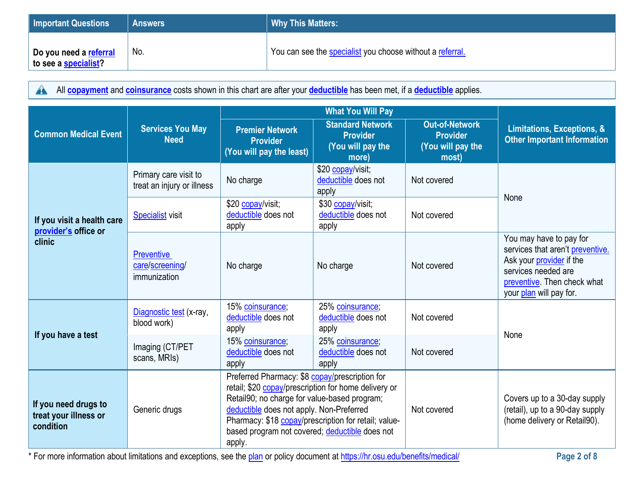| <b>Important Questions</b>                     | <b>Answers</b>  | <b>Why This Matters:</b>                                  |
|------------------------------------------------|-----------------|-----------------------------------------------------------|
| Do you need a referral<br>to see a specialist? | $^{\prime}$ No. | You can see the specialist you choose without a referral. |

All **[copayment](https://www.healthcare.gov/sbc-glossary/#copayment)** and **[coinsurance](https://www.healthcare.gov/sbc-glossary/#coinsurance)** costs shown in this chart are after your **[deductible](https://www.healthcare.gov/sbc-glossary/#deductible)** has been met, if a **[deductible](https://www.healthcare.gov/sbc-glossary/#deductible)** applies.

| <b>Common Medical Event</b>                                | <b>Services You May</b><br><b>Need</b>               | <b>Premier Network</b><br><b>Provider</b><br>(You will pay the least)                                                                                                                                                                                          | <b>Standard Network</b><br><b>Provider</b><br>(You will pay the<br>more) | <b>Out-of-Network</b><br><b>Provider</b><br>(You will pay the<br>most) | Limitations, Exceptions, &<br><b>Other Important Information</b>                                                                                                                |
|------------------------------------------------------------|------------------------------------------------------|----------------------------------------------------------------------------------------------------------------------------------------------------------------------------------------------------------------------------------------------------------------|--------------------------------------------------------------------------|------------------------------------------------------------------------|---------------------------------------------------------------------------------------------------------------------------------------------------------------------------------|
|                                                            | Primary care visit to<br>treat an injury or illness  | No charge                                                                                                                                                                                                                                                      | \$20 copay/visit;<br>deductible does not<br>apply                        | Not covered                                                            | None                                                                                                                                                                            |
| If you visit a health care<br>provider's office or         | <b>Specialist</b> visit                              | \$20 copay/visit;<br>deductible does not<br>apply                                                                                                                                                                                                              | \$30 copay/visit;<br>deductible does not<br>apply                        | Not covered                                                            |                                                                                                                                                                                 |
| clinic                                                     | <b>Preventive</b><br>care/screening/<br>immunization | No charge                                                                                                                                                                                                                                                      | No charge                                                                | Not covered                                                            | You may have to pay for<br>services that aren't preventive.<br>Ask your <i>provider</i> if the<br>services needed are<br>preventive. Then check what<br>your plan will pay for. |
| If you have a test                                         | Diagnostic test (x-ray,<br>blood work)               | 15% coinsurance;<br>deductible does not<br>apply                                                                                                                                                                                                               | 25% coinsurance;<br>deductible does not<br>apply                         | Not covered                                                            | None                                                                                                                                                                            |
|                                                            | Imaging (CT/PET<br>scans, MRIs)                      | 15% coinsurance;<br>deductible does not<br>apply                                                                                                                                                                                                               | 25% coinsurance;<br>deductible does not<br>apply                         | Not covered                                                            |                                                                                                                                                                                 |
| If you need drugs to<br>treat your illness or<br>condition | Generic drugs                                        | Preferred Pharmacy: \$8 copay/prescription for<br>retail; \$20 copay/prescription for home delivery or<br>Retail90; no charge for value-based program;<br>deductible does not apply. Non-Preferred<br>based program not covered; deductible does not<br>apply. | Pharmacy: \$18 copay/prescription for retail; value-                     | Not covered                                                            | Covers up to a 30-day supply<br>(retail), up to a 90-day supply<br>(home delivery or Retail90).                                                                                 |

\* For more information about limitations and exceptions, see the [plan](https://www.healthcare.gov/sbc-glossary/#plan) or policy document at [https://hr.osu.edu/benefits/medical/](http://www.hr.osu.edu/benefits/medical) **Page 2 of 8**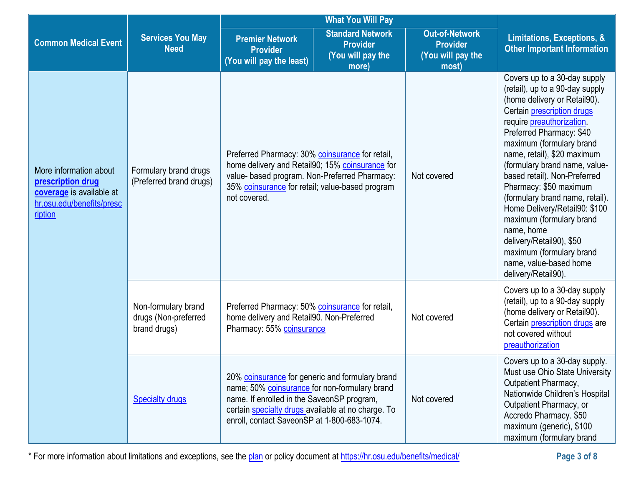|                                                                                                                 |                                                             | <b>What You Will Pay</b>                                                                                                                                                                                                                            |                                                                          |                                                                        |                                                                                                                                                                                                                                                                                                                                                                                                                                                                                                                                                                                  |
|-----------------------------------------------------------------------------------------------------------------|-------------------------------------------------------------|-----------------------------------------------------------------------------------------------------------------------------------------------------------------------------------------------------------------------------------------------------|--------------------------------------------------------------------------|------------------------------------------------------------------------|----------------------------------------------------------------------------------------------------------------------------------------------------------------------------------------------------------------------------------------------------------------------------------------------------------------------------------------------------------------------------------------------------------------------------------------------------------------------------------------------------------------------------------------------------------------------------------|
| <b>Common Medical Event</b>                                                                                     | <b>Services You May</b><br><b>Need</b>                      | <b>Premier Network</b><br><b>Provider</b><br>(You will pay the least)                                                                                                                                                                               | <b>Standard Network</b><br><b>Provider</b><br>(You will pay the<br>more) | <b>Out-of-Network</b><br><b>Provider</b><br>(You will pay the<br>most) | Limitations, Exceptions, &<br><b>Other Important Information</b>                                                                                                                                                                                                                                                                                                                                                                                                                                                                                                                 |
| More information about<br>prescription drug<br>coverage is available at<br>hr.osu.edu/benefits/presc<br>ription | Formulary brand drugs<br>(Preferred brand drugs)            | Preferred Pharmacy: 30% coinsurance for retail,<br>home delivery and Retail90; 15% coinsurance for<br>value- based program. Non-Preferred Pharmacy:<br>35% coinsurance for retail; value-based program<br>not covered.                              |                                                                          | Not covered                                                            | Covers up to a 30-day supply<br>(retail), up to a 90-day supply<br>(home delivery or Retail90).<br>Certain <i>prescription</i> drugs<br>require <i>preauthorization</i><br>Preferred Pharmacy: \$40<br>maximum (formulary brand<br>name, retail), \$20 maximum<br>(formulary brand name, value-<br>based retail). Non-Preferred<br>Pharmacy: \$50 maximum<br>(formulary brand name, retail).<br>Home Delivery/Retail90: \$100<br>maximum (formulary brand<br>name, home<br>delivery/Retail90), \$50<br>maximum (formulary brand<br>name, value-based home<br>delivery/Retail90). |
|                                                                                                                 | Non-formulary brand<br>drugs (Non-preferred<br>brand drugs) | Preferred Pharmacy: 50% coinsurance for retail,<br>home delivery and Retail90. Non-Preferred<br>Pharmacy: 55% coinsurance                                                                                                                           |                                                                          | Not covered                                                            | Covers up to a 30-day supply<br>(retail), up to a 90-day supply<br>(home delivery or Retail90).<br>Certain prescription drugs are<br>not covered without<br>preauthorization                                                                                                                                                                                                                                                                                                                                                                                                     |
|                                                                                                                 | <b>Specialty drugs</b>                                      | 20% coinsurance for generic and formulary brand<br>name; 50% coinsurance for non-formulary brand<br>name. If enrolled in the SaveonSP program,<br>certain specialty drugs available at no charge. To<br>enroll, contact SaveonSP at 1-800-683-1074. |                                                                          | Not covered                                                            | Covers up to a 30-day supply.<br>Must use Ohio State University<br>Outpatient Pharmacy,<br>Nationwide Children's Hospital<br>Outpatient Pharmacy, or<br>Accredo Pharmacy. \$50<br>maximum (generic), \$100<br>maximum (formulary brand                                                                                                                                                                                                                                                                                                                                           |

\* For more information about limitations and exceptions, see the plan or policy document at https://hr.osu.edu/benefits/medical/ **Page 3 of 8**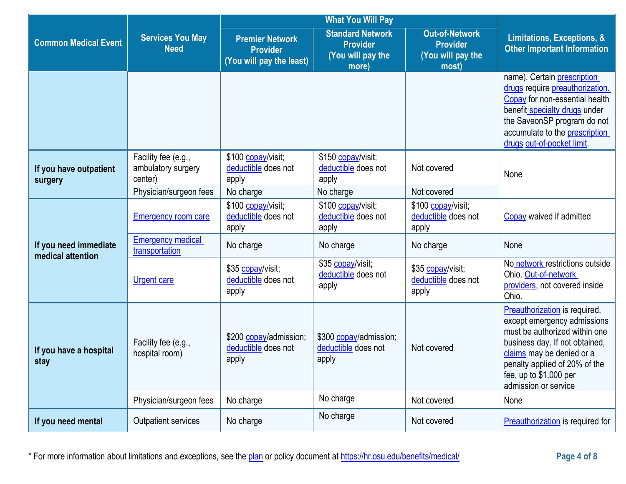|                                            |                                                      | <b>What You Will Pay</b>                                              |                                                                          |                                                                        |                                                                                                                                                                                                                                                 |
|--------------------------------------------|------------------------------------------------------|-----------------------------------------------------------------------|--------------------------------------------------------------------------|------------------------------------------------------------------------|-------------------------------------------------------------------------------------------------------------------------------------------------------------------------------------------------------------------------------------------------|
| <b>Common Medical Event</b>                | <b>Services You May</b><br><b>Need</b>               | <b>Premier Network</b><br><b>Provider</b><br>(You will pay the least) | <b>Standard Network</b><br><b>Provider</b><br>(You will pay the<br>more) | <b>Out-of-Network</b><br><b>Provider</b><br>(You will pay the<br>most) | <b>Limitations, Exceptions, &amp;</b><br><b>Other Important Information</b>                                                                                                                                                                     |
|                                            |                                                      |                                                                       |                                                                          |                                                                        | name). Certain prescription<br>drugs require preauthorization.<br>Copay for non-essential health<br>benefit specialty drugs under<br>the SaveonSP program do not<br>accumulate to the prescription<br>drugs out-of-pocket limit.                |
| If you have outpatient<br>surgery          | Facility fee (e.g.,<br>ambulatory surgery<br>center) | \$100 copay/visit;<br>deductible does not<br>apply                    | \$150 copay/visit;<br>deductible does not<br>apply                       | Not covered                                                            | None                                                                                                                                                                                                                                            |
|                                            | Physician/surgeon fees                               | No charge                                                             | No charge                                                                | Not covered                                                            |                                                                                                                                                                                                                                                 |
|                                            | <b>Emergency room care</b>                           | \$100 copay/visit;<br>deductible does not<br>apply                    | \$100 copay/visit;<br>deductible does not<br>apply                       | \$100 copay/visit;<br>deductible does not<br>apply                     | Copay waived if admitted                                                                                                                                                                                                                        |
| If you need immediate<br>medical attention | <b>Emergency medical</b><br>transportation           | No charge                                                             | No charge                                                                | No charge                                                              | None                                                                                                                                                                                                                                            |
|                                            | <b>Urgent care</b>                                   | \$35 copay/visit;<br>deductible does not<br>apply                     | \$35 copay/visit;<br>deductible does not<br>apply                        | \$35 copay/visit;<br>deductible does not<br>apply                      | No network restrictions outside<br>Ohio. Out-of-network<br>providers, not covered inside<br>Ohio.                                                                                                                                               |
| If you have a hospital<br>stay             | Facility fee (e.g.,<br>hospital room)                | \$200 copay/admission;<br>deductible does not<br>apply                | \$300 copay/admission;<br>deductible does not<br>apply                   | Not covered                                                            | Preauthorization is required,<br>except emergency admissions<br>must be authorized within one<br>business day. If not obtained,<br>claims may be denied or a<br>penalty applied of 20% of the<br>fee, up to \$1,000 per<br>admission or service |
|                                            | Physician/surgeon fees                               | No charge                                                             | No charge                                                                | Not covered                                                            | None                                                                                                                                                                                                                                            |
| If you need mental                         | Outpatient services                                  | No charge                                                             | No charge                                                                | Not covered                                                            | <b>Preauthorization</b> is required for                                                                                                                                                                                                         |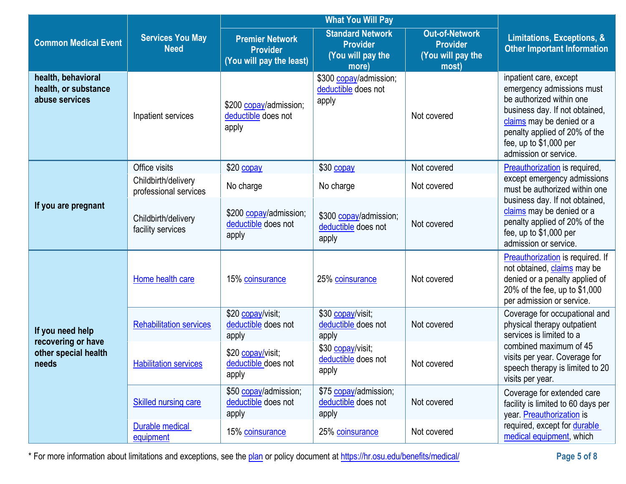|                                                              |                                              | <b>What You Will Pay</b>                                              |                                                                          |                                                                        |                                                                                                                                                                                                                                     |
|--------------------------------------------------------------|----------------------------------------------|-----------------------------------------------------------------------|--------------------------------------------------------------------------|------------------------------------------------------------------------|-------------------------------------------------------------------------------------------------------------------------------------------------------------------------------------------------------------------------------------|
| <b>Common Medical Event</b>                                  | <b>Services You May</b><br><b>Need</b>       | <b>Premier Network</b><br><b>Provider</b><br>(You will pay the least) | <b>Standard Network</b><br><b>Provider</b><br>(You will pay the<br>more) | <b>Out-of-Network</b><br><b>Provider</b><br>(You will pay the<br>most) | Limitations, Exceptions, &<br><b>Other Important Information</b>                                                                                                                                                                    |
| health, behavioral<br>health, or substance<br>abuse services | Inpatient services                           | \$200 copay/admission;<br>deductible does not<br>apply                | \$300 copay/admission;<br>deductible does not<br>apply                   | Not covered                                                            | inpatient care, except<br>emergency admissions must<br>be authorized within one<br>business day. If not obtained,<br>claims may be denied or a<br>penalty applied of 20% of the<br>fee, up to $$1,000$ per<br>admission or service. |
|                                                              | Office visits                                | \$20 copay                                                            | \$30 copay                                                               | Not covered                                                            | Preauthorization is required,                                                                                                                                                                                                       |
|                                                              | Childbirth/delivery<br>professional services | No charge                                                             | No charge                                                                | Not covered                                                            | except emergency admissions<br>must be authorized within one<br>business day. If not obtained,<br>claims may be denied or a<br>penalty applied of 20% of the<br>fee, up to $$1,000$ per<br>admission or service.                    |
| If you are pregnant                                          | Childbirth/delivery<br>facility services     | \$200 copay/admission;<br>deductible does not<br>apply                | \$300 copay/admission;<br>deductible does not<br>apply                   | Not covered                                                            |                                                                                                                                                                                                                                     |
|                                                              | Home health care                             | 15% coinsurance                                                       | 25% coinsurance                                                          | Not covered                                                            | Preauthorization is required. If<br>not obtained, claims may be<br>denied or a penalty applied of<br>20% of the fee, up to \$1,000<br>per admission or service.                                                                     |
| If you need help<br>recovering or have                       | <b>Rehabilitation services</b>               | \$20 copay/visit;<br>deductible does not<br>apply                     | \$30 copay/visit;<br>deductible does not<br>apply                        | Not covered                                                            | Coverage for occupational and<br>physical therapy outpatient<br>services is limited to a                                                                                                                                            |
| other special health<br>needs                                | <b>Habilitation services</b>                 | \$20 copay/visit;<br>deductible does not<br>apply                     | \$30 copay/visit;<br>deductible does not<br>apply                        | Not covered                                                            | combined maximum of 45<br>visits per year. Coverage for<br>speech therapy is limited to 20<br>visits per year.                                                                                                                      |
|                                                              | <b>Skilled nursing care</b>                  | \$50 copay/admission;<br>deductible does not<br>apply                 | \$75 copay/admission;<br>deductible does not<br>apply                    | Not covered                                                            | Coverage for extended care<br>facility is limited to 60 days per<br>year. Preauthorization is                                                                                                                                       |
|                                                              | <b>Durable medical</b><br>equipment          | 15% coinsurance                                                       | 25% coinsurance                                                          | Not covered                                                            | required, except for durable<br>medical equipment, which                                                                                                                                                                            |

\* For more information about limitations and exceptions, see the plan or policy document at https://hr.osu.edu/benefits/medical/ **Page 5 of 8**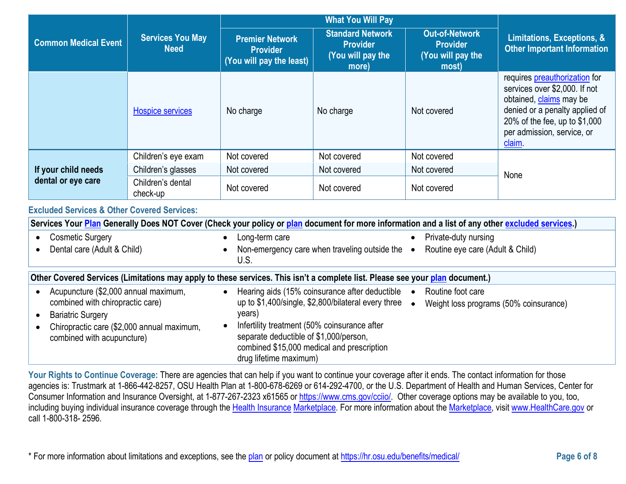|                                                        | <b>Services You May</b><br><b>Need</b> | <b>What You Will Pay</b>                                              |                                                                          |                                                                        |                                                                                                                                                                                                     |
|--------------------------------------------------------|----------------------------------------|-----------------------------------------------------------------------|--------------------------------------------------------------------------|------------------------------------------------------------------------|-----------------------------------------------------------------------------------------------------------------------------------------------------------------------------------------------------|
| <b>Common Medical Event</b>                            |                                        | <b>Premier Network</b><br><b>Provider</b><br>(You will pay the least) | <b>Standard Network</b><br><b>Provider</b><br>(You will pay the<br>more) | <b>Out-of-Network</b><br><b>Provider</b><br>(You will pay the<br>most) | Limitations, Exceptions, &<br><b>Other Important Information</b>                                                                                                                                    |
|                                                        | <b>Hospice services</b>                | No charge                                                             | No charge                                                                | Not covered                                                            | requires preauthorization for<br>services over \$2,000. If not<br>obtained, claims may be<br>denied or a penalty applied of<br>20% of the fee, up to \$1,000<br>per admission, service, or<br>claim |
|                                                        | Children's eye exam                    | Not covered                                                           | Not covered                                                              | Not covered                                                            |                                                                                                                                                                                                     |
| If your child needs<br>dental or eye care              | Children's glasses                     | Not covered                                                           | Not covered                                                              | Not covered                                                            | None                                                                                                                                                                                                |
|                                                        | Children's dental<br>check-up          | Not covered                                                           | Not covered                                                              | Not covered                                                            |                                                                                                                                                                                                     |
| <b>Excluded Services &amp; Other Covered Services:</b> |                                        |                                                                       |                                                                          |                                                                        |                                                                                                                                                                                                     |

| Services Your Plan Generally Does NOT Cover (Check your policy or plan document for more information and a list of any other excluded services.)                                 |                                                                                                                                                                                                                                                                                                                                                            |  |  |  |
|----------------------------------------------------------------------------------------------------------------------------------------------------------------------------------|------------------------------------------------------------------------------------------------------------------------------------------------------------------------------------------------------------------------------------------------------------------------------------------------------------------------------------------------------------|--|--|--|
| Cosmetic Surgery<br>$\bullet$                                                                                                                                                    | Private-duty nursing<br>Long-term care                                                                                                                                                                                                                                                                                                                     |  |  |  |
| Dental care (Adult & Child)                                                                                                                                                      | Routine eye care (Adult & Child)<br>Non-emergency care when traveling outside the $\bullet$<br>U.S.                                                                                                                                                                                                                                                        |  |  |  |
|                                                                                                                                                                                  | Other Covered Services (Limitations may apply to these services. This isn't a complete list. Please see your plan document.)                                                                                                                                                                                                                               |  |  |  |
| Acupuncture (\$2,000 annual maximum,<br>combined with chiropractic care)<br><b>Bariatric Surgery</b><br>Chiropractic care (\$2,000 annual maximum,<br>combined with acupuncture) | Hearing aids (15% coinsurance after deductible<br>Routine foot care<br>up to \$1,400/single, \$2,800/bilateral every three $\bullet$<br>Weight loss programs (50% coinsurance)<br>years)<br>Infertility treatment (50% coinsurance after<br>separate deductible of \$1,000/person,<br>combined \$15,000 medical and prescription<br>drug lifetime maximum) |  |  |  |

Your Rights to Continue Coverage: There are agencies that can help if you want to continue your coverage after it ends. The contact information for those agencies is: Trustmark at 1-866-442-8257, OSU Health Plan at 1-800-678-6269 or 614-292-4700, or the U.S. Department of Health and Human Services, Center for Consumer Information and Insurance Oversight, at 1-877-267-2323 x61565 or [https://www.cms.gov/cciio/.](https://www.cms.gov/cciio/) Other coverage options may be available to you, too, including buying individual insurance coverage through the [Health Insurance](https://www.healthcare.gov/sbc-glossary/#health-insurance) [Marketplace.](https://www.healthcare.gov/sbc-glossary/#marketplace) For more information about the [Marketplace,](https://www.healthcare.gov/sbc-glossary/#marketplace) visit [www.HealthCare.gov](http://www.healthcare.gov/) or call 1-800-318- 2596.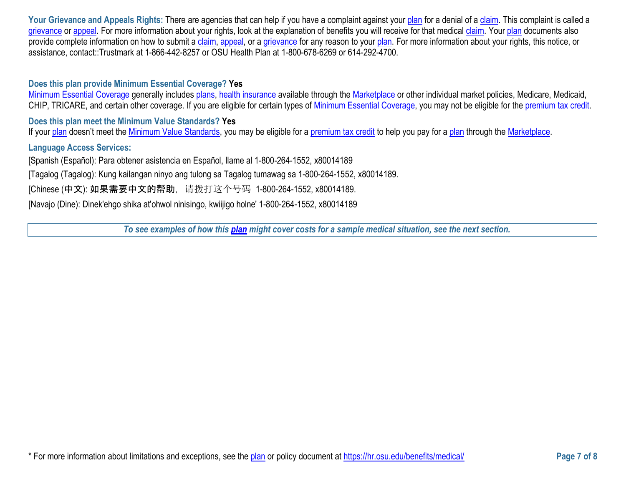Your Grievance and Appeals Rights: There are agencies that can help if you have a complaint against your [plan](https://www.healthcare.gov/sbc-glossary/#plan) for a denial of a [claim.](https://www.healthcare.gov/sbc-glossary/#claim) This complaint is called a [grievance](https://www.healthcare.gov/sbc-glossary/#grievance) or [appeal.](https://www.healthcare.gov/sbc-glossary/#appeal) For more information about your rights, look at the explanation of benefits you will receive for that medical [claim.](https://www.healthcare.gov/sbc-glossary/#claim) Your [plan](https://www.healthcare.gov/sbc-glossary/#plan) documents also provide complete information on how to submit a [claim,](https://www.healthcare.gov/sbc-glossary/#claim) [appeal,](https://www.healthcare.gov/sbc-glossary/#appeal) or a [grievance](https://www.healthcare.gov/sbc-glossary/#grievance) for any reason to your [plan.](https://www.healthcare.gov/sbc-glossary/#plan) For more information about your rights, this notice, or assistance, contact::Trustmark at 1-866-442-8257 or OSU Health Plan at 1-800-678-6269 or 614-292-4700.

#### **Does this plan provide Minimum Essential Coverage? Yes**

[Minimum Essential Coverage](https://www.healthcare.gov/sbc-glossary/#minimum-essential-coverage) generally includes [plans,](https://www.healthcare.gov/sbc-glossary/#plan) [health insurance](https://www.healthcare.gov/sbc-glossary/#health-insurance) available through the [Marketplace](https://www.healthcare.gov/sbc-glossary/#marketplace) or other individual market policies, Medicare, Medicaid, CHIP, TRICARE, and certain other coverage. If you are eligible for certain types of [Minimum Essential Coverage,](https://www.healthcare.gov/sbc-glossary/#minimum-essential-coverage) you may not be eligible for the [premium tax credit.](https://www.healthcare.gov/sbc-glossary/#premium-tax-credits)

**Does this plan meet the Minimum Value Standards? Yes**

If your [plan](https://www.healthcare.gov/sbc-glossary/#plan) doesn't meet the [Minimum Value Standards,](https://www.healthcare.gov/sbc-glossary/#minimum-value-standard) you may be eligible for a [premium tax credit](https://www.healthcare.gov/sbc-glossary/#premium-tax-credits) to help you pay for a plan through the [Marketplace.](https://www.healthcare.gov/sbc-glossary/#marketplace)

#### **Language Access Services:**

[Spanish (Español): Para obtener asistencia en Español, llame al 1-800-264-1552, x80014189

[Tagalog (Tagalog): Kung kailangan ninyo ang tulong sa Tagalog tumawag sa 1-800-264-1552, x80014189.

[Chinese (中文): 如果需要中文的帮助, 请拨打这个号码 1-800-264-1552, x80014189.

[Navajo (Dine): Dinek'ehgo shika at'ohwol ninisingo, kwiijigo holne' 1-800-264-1552, x80014189

*To see examples of how this [plan](https://www.healthcare.gov/sbc-glossary/#plan) might cover costs for a sample medical situation, see the next section.*